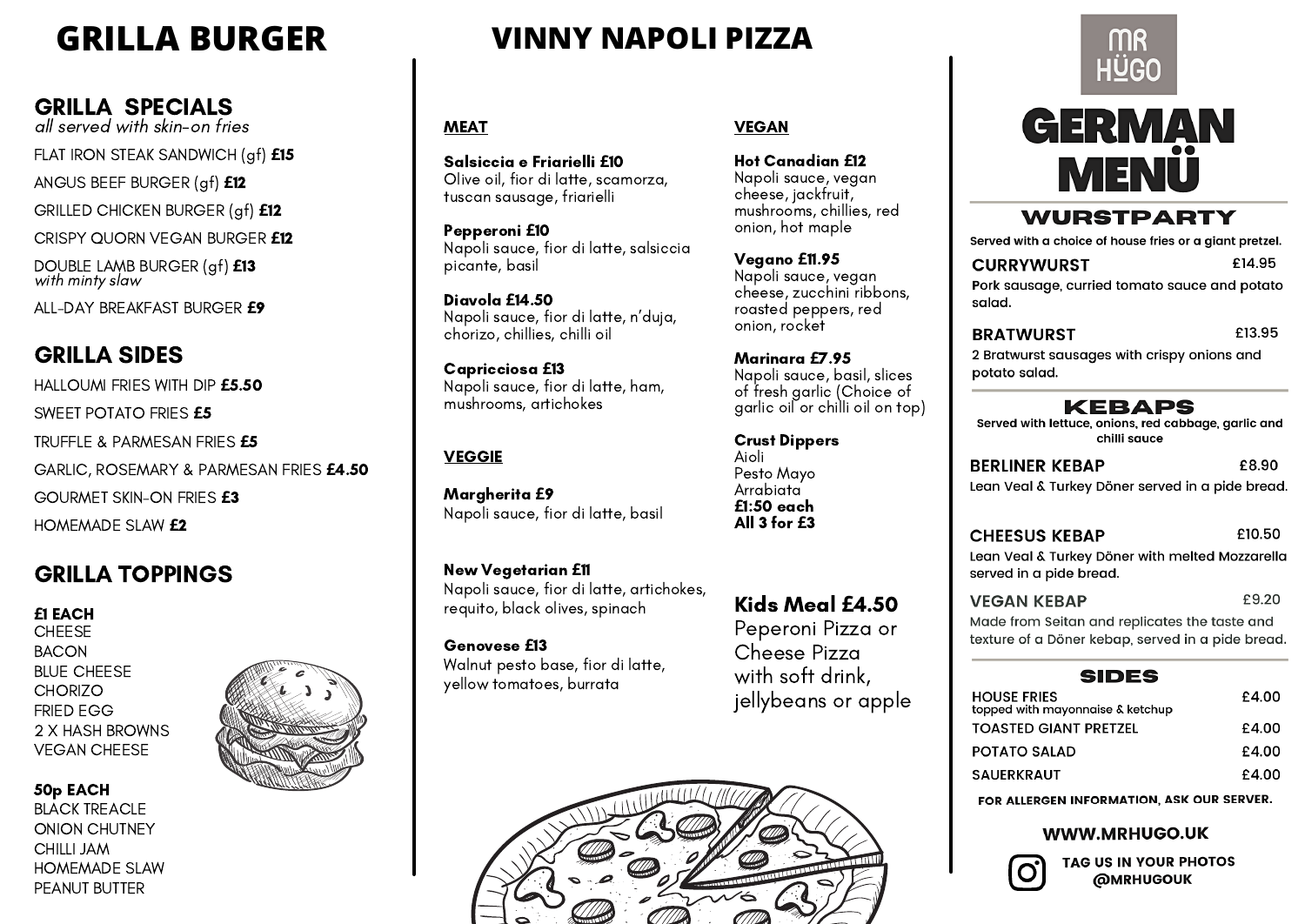### GRILLA SPECIALS

all served with skin-on fries

FLAT IRON STEAK SANDWICH (gf) **£**<sup>15</sup>

ANGUS BEEF BURGER (gf) **£**<sup>12</sup>

GRILLED CHICKEN BURGER (gf) **£**<sup>12</sup>

CRISPY QUORN VEGAN BURGER **£**12

DOUBLE LAMB BURGER (gf) **£**13 with minty slaw

ALL-DAY BREAKFAST BURGER **£**9

### GRILLA SIDES

HALLOUMI FRIES WITH DIP **£**5.50 SWEET POTATO FRIES **£**<sup>5</sup> TRUFFLE & PARMESAN FRIES **£**5 GARLIC, ROSEMARY & PARMESAN FRIES **£**4.50 GOURMET SKIN-ON FRIES **£**3 HOMEMADE SLAW **£**<sup>2</sup>

Margherita **£**9 Napoli sauce, fior di latte, basil

New Vegetarian **£**<sup>11</sup> Napoli sauce, fior di latte, artichokes, requito, black olives, spinach

Genovese **£**13 Walnut pesto base, fior di latte, yellow tomatoes, burrata

Salsiccia <sup>e</sup> Friarielli **£**10 Olive oil, fior di latte, scamorza, tuscan sausage, friarielli

Pepperoni **£**<sup>10</sup> Napoli sauce, fior di latte, salsiccia picante, basil

**CHEESE** BACON BLUE CHEESE **CHORIZO** FRIED EGG 2 X HASH BROWNS VEGAN CHEESE

Diavola **£**14.50 Napoli sauce, fior di latte, <sup>n</sup>'duja, chorizo, chillies, chilli oil

Capricciosa **£**13 Napoli sauce, fior di latte, ham, mushrooms, artichokes

### **VEGGIE**

# **GRILLA BURGER VINNY NAPOLI PIZZA**

### **MEAT**

### VEGAN

Hot Canadian **£**12 Napoli sauce, vegan cheese, jackfruit, mushrooms, chillies, red onion, hot maple

Vegano **£**11.95 Napoli sauce, vegan cheese, zucchini ribbons, roasted peppers, red onion, rocket

Marinara **£**7.95 Napoli sauce, basil, slices of fresh garlic (Choice of garlic oil or chilli oil on top)

Crust Dippers Aioli Pesto Mayo **Arrabiata £**1:50 each All 3 for **£**3

Kids Meal **£**4.50 Peperoni Pizza or Cheese Pizza

with soft drink, jellybeans or apple



2 Bratwurst sausages with crispy onions and potato salad.

Served with lettuce, onions, red cabbage, garlic and chilli sauce

£8.90 **BERLINER KEBAP** Lean Veal & Turkey Döner served in a pide bread.

Lean Veal & Turkey Döner with melted Mozzarella served in a pide bread. £9.20 **VEGAN KEBAP** 

Made from Seitan and replicates the taste and texture of a Döner kebap, served in a pide bread.

HO top TO. PO **SA** 

# MR **HÜGO**



**WURSTPARTY** 

Served with a choice of house fries or a giant pretzel.

### **CURRYWURST**

Pork sausage, curried tomato sauce and potato salad.

### **BRATWURST**

### KEBAPS

### **CHEESUS KEBAP**

### **SIDES**

| )USE FRIES<br>ped with mayonnaise & ketchup | £4.00 |
|---------------------------------------------|-------|
| <b>ASTED GIANT PRETZEL</b>                  | £4.00 |
| <b>ITATO SALAD</b>                          | £4.00 |
| <b>UERKRAUT</b>                             | £4.00 |

FOR ALLERGEN INFORMATION, ASK OUR SERVER.

### **WWW.MRHUGO.UK**

TAG US IN YOUR PHOTOS **@MRHUGOUK** 

### £13.95

£14.95

### GRILLA TOPPINGS

### £10.50

### **£**1 EACH

### 50p EACH BLACK TREACLE ONION CHUTNEY CHILLI JAM HOMEMADE SLAW PEANUT BUTTER